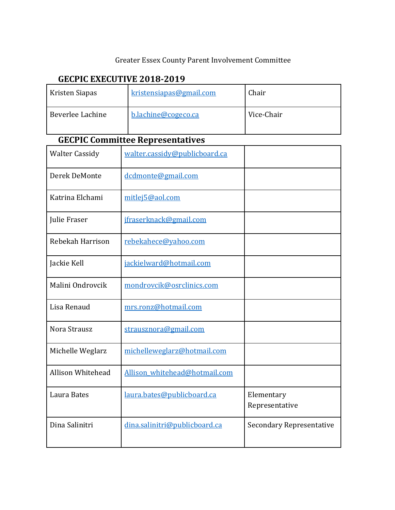## Greater Essex County Parent Involvement Committee

# **GECPIC EXECUTIVE 2018-2019**

| Kristen Siapas                          | kristensiapas@gmail.com | Chair      |  |  |
|-----------------------------------------|-------------------------|------------|--|--|
| Beverlee Lachine                        | b.lachine@cogeco.ca     | Vice-Chair |  |  |
| <b>GECPIC Committee Representatives</b> |                         |            |  |  |

| <b>Walter Cassidy</b> | walter.cassidy@publicboard.ca |                                 |
|-----------------------|-------------------------------|---------------------------------|
| Derek DeMonte         | dcdmonte@gmail.com            |                                 |
| Katrina Elchami       | mitlej5@aol.com               |                                 |
| Julie Fraser          | jfraserknack@gmail.com        |                                 |
| Rebekah Harrison      | rebekahece@yahoo.com          |                                 |
| Jackie Kell           | jackielward@hotmail.com       |                                 |
| Malini Ondrovcik      | mondrovcik@osrclinics.com     |                                 |
| Lisa Renaud           | mrs.ronz@hotmail.com          |                                 |
| Nora Strausz          | strausznora@gmail.com         |                                 |
| Michelle Weglarz      | michelleweglarz@hotmail.com   |                                 |
| Allison Whitehead     | Allison whitehead@hotmail.com |                                 |
| Laura Bates           | laura.bates@publicboard.ca    | Elementary<br>Representative    |
| Dina Salinitri        | dina.salinitri@publicboard.ca | <b>Secondary Representative</b> |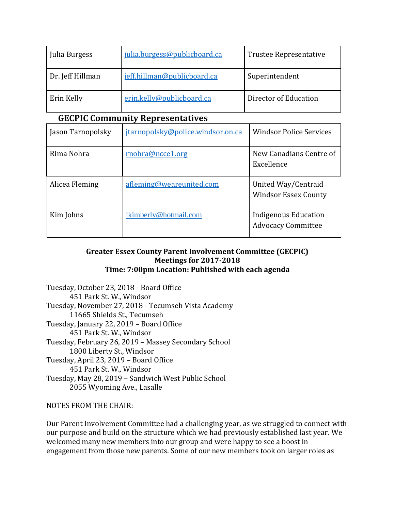| Julia Burgess    | julia.burgess@publicboard.ca | <b>Trustee Representative</b> |
|------------------|------------------------------|-------------------------------|
| Dr. Jeff Hillman | jeff.hillman@publicboard.ca  | Superintendent                |
| Erin Kelly       | erin.kelly@publicboard.ca    | Director of Education         |

## **GECPIC Community Representatives**

| Jason Tarnopolsky | jtarnopolsky@police.windsor.on.ca | <b>Windsor Police Services</b>                     |
|-------------------|-----------------------------------|----------------------------------------------------|
| Rima Nohra        | rnohra@ncce1.org                  | New Canadians Centre of<br>Excellence              |
| Alicea Fleming    | afleming@weareunited.com          | United Way/Centraid<br><b>Windsor Essex County</b> |
| Kim Johns         | jkimberly@hotmail.com             | Indigenous Education<br><b>Advocacy Committee</b>  |

### **Greater Essex County Parent Involvement Committee (GECPIC) Meetings for 2017-2018 Time: 7:00pm Location: Published with each agenda**

Tuesday, October 23, 2018 - Board Office 451 Park St. W., Windsor Tuesday, November 27, 2018 - Tecumseh Vista Academy 11665 Shields St., Tecumseh Tuesday, January 22, 2019 – Board Office 451 Park St. W., Windsor Tuesday, February 26, 2019 – Massey Secondary School 1800 Liberty St., Windsor Tuesday, April 23, 2019 – Board Office 451 Park St. W., Windsor Tuesday, May 28, 2019 – Sandwich West Public School 2055 Wyoming Ave., Lasalle

NOTES FROM THE CHAIR:

Our Parent Involvement Committee had a challenging year, as we struggled to connect with our purpose and build on the structure which we had previously established last year. We welcomed many new members into our group and were happy to see a boost in engagement from those new parents. Some of our new members took on larger roles as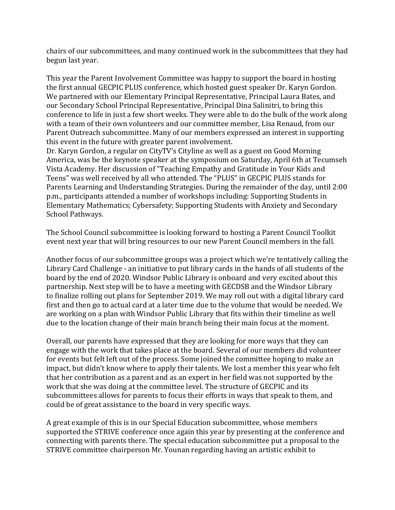chairs of our subcommittees, and many continued work in the subcommittees that they had begun last year.

This year the Parent Involvement Committee was happy to support the board in hosting the first annual GECPIC PLUS conference, which hosted guest speaker Dr. Karyn Gordon. We partnered with our Elementary Principal Representative, Principal Laura Bates, and our Secondary School Principal Representative, Principal Dina Salinitri, to bring this conference to life in just a few short weeks. They were able to do the bulk of the work along with a team of their own volunteers and our committee member, Lisa Renaud, from our Parent Outreach subcommittee. Many of our members expressed an interest in supporting this event in the future with greater parent involvement.

Dr. Karyn Gordon, a regular on CityTV's Cityline as well as a guest on Good Morning America, was be the keynote speaker at the symposium on Saturday, April 6th at Tecumseh Vista Academy. Her discussion of "Teaching Empathy and Gratitude in Your Kids and Teens" was well received by all who attended. The "PLUS" in GECPIC PLUS stands for Parents Learning and Understanding Strategies. During the remainder of the day, until 2:00 p.m., participants attended a number of workshops including: Supporting Students in Elementary Mathematics; Cybersafety; Supporting Students with Anxiety and Secondary School Pathways.

The School Council subcommittee is looking forward to hosting a Parent Council Toolkit event next year that will bring resources to our new Parent Council members in the fall.

Another focus of our subcommittee groups was a project which we're tentatively calling the Library Card Challenge - an initiative to put library cards in the hands of all students of the board by the end of 2020. Windsor Public Library is onboard and very excited about this partnership. Next step will be to have a meeting with GECDSB and the Windsor Library to finalize rolling out plans for September 2019. We may roll out with a digital library card first and then go to actual card at a later time due to the volume that would be needed. We are working on a plan with Windsor Public Library that fits within their timeline as well due to the location change of their main branch being their main focus at the moment.

Overall, our parents have expressed that they are looking for more ways that they can engage with the work that takes place at the board. Several of our members did volunteer for events but felt left out of the process. Some joined the committee hoping to make an impact, but didn't know where to apply their talents. We lost a member this year who felt that her contribution as a parent and as an expert in her field was not supported by the work that she was doing at the committee level. The structure of GECPIC and its subcommittees allows for parents to focus their efforts in ways that speak to them, and could be of great assistance to the board in very specific ways.

A great example of this is in our Special Education subcommittee, whose members supported the STRIVE conference once again this year by presenting at the conference and connecting with parents there. The special education subcommittee put a proposal to the STRIVE committee chairperson Mr. Younan regarding having an artistic exhibit to